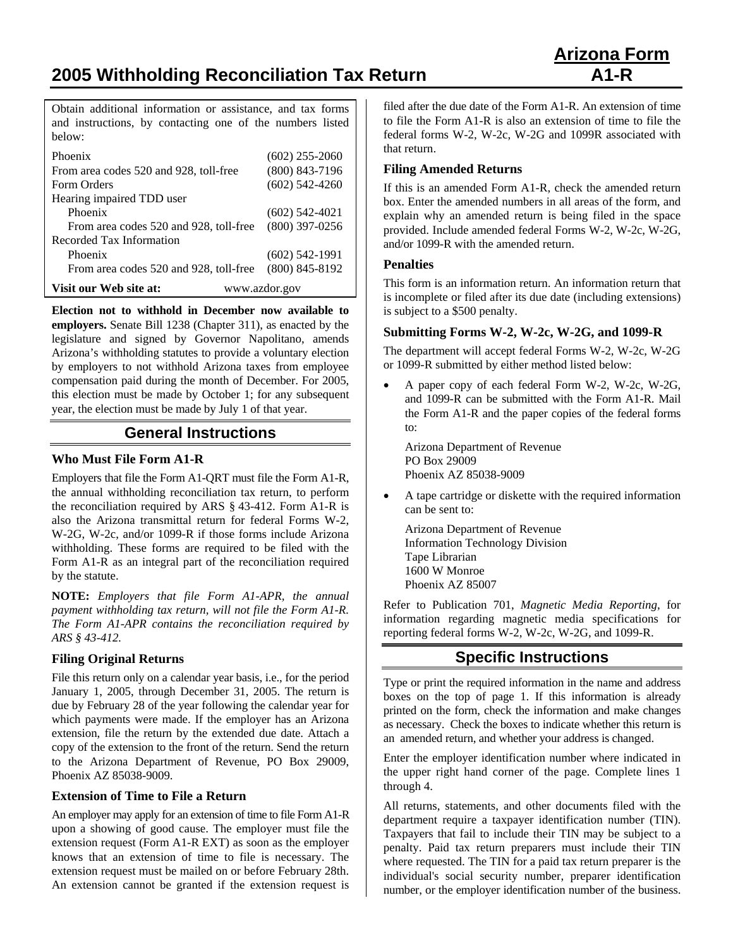**2005 Withholding Reconciliation Tax Return A1-R** 

Obtain additional information or assistance, and tax forms and instructions, by contacting one of the numbers listed below:

| Phoenix                                 | $(602)$ 255-2060 |
|-----------------------------------------|------------------|
| From area codes 520 and 928, toll-free  | $(800)$ 843-7196 |
| Form Orders                             | $(602)$ 542-4260 |
| Hearing impaired TDD user               |                  |
| Phoenix                                 | $(602)$ 542-4021 |
| From area codes 520 and 928, toll-free  | $(800)$ 397-0256 |
| Recorded Tax Information                |                  |
| Phoenix                                 | $(602)$ 542-1991 |
| From area codes 520 and 928, toll-free  | $(800)$ 845-8192 |
| Visit our Web site at:<br>www.azdor.gov |                  |

**Election not to withhold in December now available to employers.** Senate Bill 1238 (Chapter 311), as enacted by the legislature and signed by Governor Napolitano, amends Arizona's withholding statutes to provide a voluntary election by employers to not withhold Arizona taxes from employee compensation paid during the month of December. For 2005, this election must be made by October 1; for any subsequent year, the election must be made by July 1 of that year.

## **General Instructions**

#### **Who Must File Form A1-R**

Employers that file the Form A1-QRT must file the Form A1-R, the annual withholding reconciliation tax return, to perform the reconciliation required by ARS § 43-412. Form A1-R is also the Arizona transmittal return for federal Forms W-2, W-2G, W-2c, and/or 1099-R if those forms include Arizona withholding. These forms are required to be filed with the Form A1-R as an integral part of the reconciliation required by the statute.

**NOTE:** *Employers that file Form A1-APR, the annual payment withholding tax return, will not file the Form A1-R. The Form A1-APR contains the reconciliation required by ARS § 43-412.*

#### **Filing Original Returns**

File this return only on a calendar year basis, i.e., for the period January 1, 2005, through December 31, 2005. The return is due by February 28 of the year following the calendar year for which payments were made. If the employer has an Arizona extension, file the return by the extended due date. Attach a copy of the extension to the front of the return. Send the return to the Arizona Department of Revenue, PO Box 29009, Phoenix AZ 85038-9009.

#### **Extension of Time to File a Return**

An employer may apply for an extension of time to file Form A1-R upon a showing of good cause. The employer must file the extension request (Form A1-R EXT) as soon as the employer knows that an extension of time to file is necessary. The extension request must be mailed on or before February 28th. An extension cannot be granted if the extension request is filed after the due date of the Form A1-R. An extension of time to file the Form A1-R is also an extension of time to file the federal forms W-2, W-2c, W-2G and 1099R associated with that return.

#### **Filing Amended Returns**

If this is an amended Form A1-R, check the amended return box. Enter the amended numbers in all areas of the form, and explain why an amended return is being filed in the space provided. Include amended federal Forms W-2, W-2c, W-2G, and/or 1099-R with the amended return.

#### **Penalties**

This form is an information return. An information return that is incomplete or filed after its due date (including extensions) is subject to a \$500 penalty.

#### **Submitting Forms W-2, W-2c, W-2G, and 1099-R**

The department will accept federal Forms W-2, W-2c, W-2G or 1099-R submitted by either method listed below:

• A paper copy of each federal Form W-2, W-2c, W-2G, and 1099-R can be submitted with the Form A1-R. Mail the Form A1-R and the paper copies of the federal forms to:

Arizona Department of Revenue PO Box 29009 Phoenix AZ 85038-9009

• A tape cartridge or diskette with the required information can be sent to:

 Arizona Department of Revenue Information Technology Division Tape Librarian 1600 W Monroe Phoenix AZ 85007

Refer to Publication 701, *Magnetic Media Reporting*, for information regarding magnetic media specifications for reporting federal forms W-2, W-2c, W-2G, and 1099-R.

# **Specific Instructions**

Type or print the required information in the name and address boxes on the top of page 1. If this information is already printed on the form, check the information and make changes as necessary. Check the boxes to indicate whether this return is an amended return, and whether your address is changed.

Enter the employer identification number where indicated in the upper right hand corner of the page. Complete lines 1 through 4.

All returns, statements, and other documents filed with the department require a taxpayer identification number (TIN). Taxpayers that fail to include their TIN may be subject to a penalty. Paid tax return preparers must include their TIN where requested. The TIN for a paid tax return preparer is the individual's social security number, preparer identification number, or the employer identification number of the business.